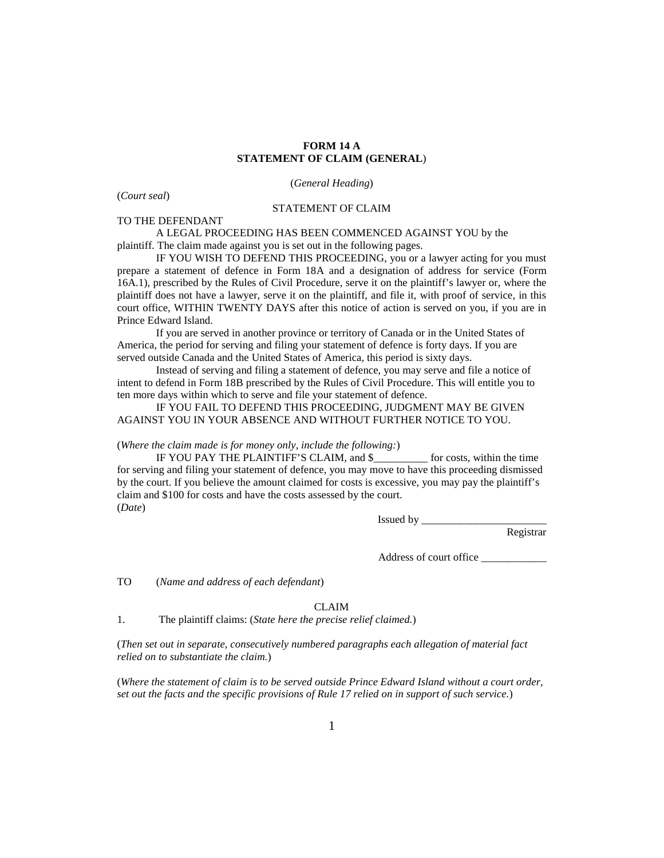## **FORM 14 A STATEMENT OF CLAIM (GENERAL**)

(*General Heading*)

(*Court seal*)

## STATEMENT OF CLAIM

TO THE DEFENDANT

A LEGAL PROCEEDING HAS BEEN COMMENCED AGAINST YOU by the plaintiff. The claim made against you is set out in the following pages.

IF YOU WISH TO DEFEND THIS PROCEEDING, you or a lawyer acting for you must prepare a statement of defence in Form 18A and a designation of address for service (Form 16A.1), prescribed by the Rules of Civil Procedure, serve it on the plaintiff's lawyer or, where the plaintiff does not have a lawyer, serve it on the plaintiff, and file it, with proof of service, in this court office, WITHIN TWENTY DAYS after this notice of action is served on you, if you are in Prince Edward Island.

If you are served in another province or territory of Canada or in the United States of America, the period for serving and filing your statement of defence is forty days. If you are served outside Canada and the United States of America, this period is sixty days.

Instead of serving and filing a statement of defence, you may serve and file a notice of intent to defend in Form 18B prescribed by the Rules of Civil Procedure. This will entitle you to ten more days within which to serve and file your statement of defence.

IF YOU FAIL TO DEFEND THIS PROCEEDING, JUDGMENT MAY BE GIVEN AGAINST YOU IN YOUR ABSENCE AND WITHOUT FURTHER NOTICE TO YOU.

## (*Where the claim made is for money only, include the following:*)

IF YOU PAY THE PLAINTIFF'S CLAIM, and \$\_\_\_\_\_\_\_\_\_\_ for costs, within the time for serving and filing your statement of defence, you may move to have this proceeding dismissed by the court. If you believe the amount claimed for costs is excessive, you may pay the plaintiff's claim and \$100 for costs and have the costs assessed by the court. (*Date*)

Issued by \_\_\_\_\_\_\_\_\_\_\_\_\_\_\_\_\_\_\_\_\_\_\_

Registrar

Address of court office \_\_\_\_\_\_\_\_\_\_\_\_

TO (*Name and address of each defendant*)

CLAIM

1. The plaintiff claims: (*State here the precise relief claimed.*)

(*Then set out in separate, consecutively numbered paragraphs each allegation of material fact relied on to substantiate the claim.*)

(*Where the statement of claim is to be served outside Prince Edward Island without a court order, set out the facts and the specific provisions of Rule 17 relied on in support of such service.*)